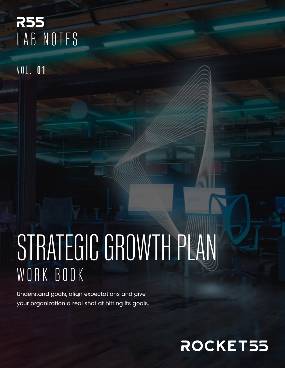### **R55** LAB NOTES

**VOL. 01** 

# STRATEGIC GROWTH PLAN WORK BOOK

Understand goals, align expectations and give your organization a real shot at hitting its goals.

### ROCKET55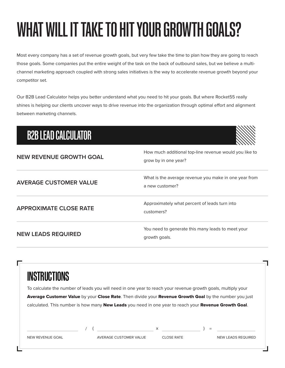# WHAT WILL IT TAKE TO HIT YOUR GROWTH GOALS?

Most every company has a set of revenue growth goals, but very few take the time to plan how they are going to reach those goals. Some companies put the entire weight of the task on the back of outbound sales, but we believe a multichannel marketing approach coupled with strong sales initiatives is the way to accelerate revenue growth beyond your competitor set.

Our B2B Lead Calculator helps you better understand what you need to hit your goals. But where Rocket55 really shines is helping our clients uncover ways to drive revenue into the organization through optimal effort and alignment between marketing channels.

#### B2B LEAD CALCULATOR

| <b>NEW REVENUE GROWTH GOAL</b> | How much additional top-line revenue would you like to<br>grow by in one year? |
|--------------------------------|--------------------------------------------------------------------------------|
| <b>AVERAGE CUSTOMER VALUE</b>  | What is the average revenue you make in one year from<br>a new customer?       |
| <b>APPROXIMATE CLOSE RATE</b>  | Approximately what percent of leads turn into<br>customers?                    |
| <b>NEW LEADS REQUIRED</b>      | You need to generate this many leads to meet your<br>growth goals.             |

| INSTRUCTIONS |                                                                                                                                                                                                                                                                                                           |  |
|--------------|-----------------------------------------------------------------------------------------------------------------------------------------------------------------------------------------------------------------------------------------------------------------------------------------------------------|--|
|              | To calculate the number of leads you will need in one year to reach your revenue growth goals, multiply your                                                                                                                                                                                              |  |
|              | Average Customer Value by your Close Rate. Then divide your Revenue Growth Goal by the number you just                                                                                                                                                                                                    |  |
|              | calculated. This number is how many New Leads you need in one year to reach your Revenue Growth Goal.                                                                                                                                                                                                     |  |
|              |                                                                                                                                                                                                                                                                                                           |  |
|              | $\frac{1}{2}$ (x $\frac{1}{2}$ x $\frac{1}{2}$ x $\frac{1}{2}$ x $\frac{1}{2}$ x $\frac{1}{2}$ x $\frac{1}{2}$ x $\frac{1}{2}$ x $\frac{1}{2}$ x $\frac{1}{2}$ x $\frac{1}{2}$ x $\frac{1}{2}$ x $\frac{1}{2}$ x $\frac{1}{2}$ x $\frac{1}{2}$ x $\frac{1}{2}$ x $\frac{1}{2}$ x $\frac{1}{2}$ x $\frac{$ |  |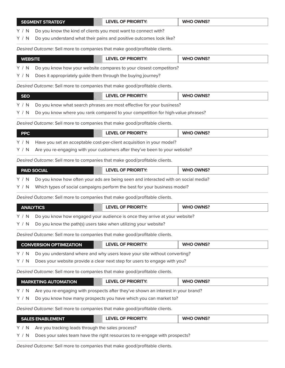|                                                                                            | <b>LEVEL OF PRIORITY:</b><br><b>SEGMENT STRATEGY</b>                               | <b>WHO OWNS?</b> |  |  |  |  |
|--------------------------------------------------------------------------------------------|------------------------------------------------------------------------------------|------------------|--|--|--|--|
| Do you know the kind of clients you most want to connect with?<br>Y / N                    |                                                                                    |                  |  |  |  |  |
| Y / N                                                                                      | Do you understand what their pains and positive outcomes look like?                |                  |  |  |  |  |
| Desired Outcome: Sell more to companies that make good/profitable clients.                 |                                                                                    |                  |  |  |  |  |
| <b>WEBSITE</b>                                                                             | <b>LEVEL OF PRIORITY:</b>                                                          | <b>WHO OWNS?</b> |  |  |  |  |
| Y/N                                                                                        | Do you know how your website compares to your closest competitors?                 |                  |  |  |  |  |
| Does it appropriately guide them through the buying journey?<br>Y / N                      |                                                                                    |                  |  |  |  |  |
| Desired Outcome: Sell more to companies that make good/profitable clients.                 |                                                                                    |                  |  |  |  |  |
| <b>SEO</b>                                                                                 | <b>LEVEL OF PRIORITY:</b>                                                          | <b>WHO OWNS?</b> |  |  |  |  |
| Y / N                                                                                      | Do you know what search phrases are most effective for your business?              |                  |  |  |  |  |
| Y / N                                                                                      | Do you know where you rank compared to your competition for high-value phrases?    |                  |  |  |  |  |
| Desired Outcome: Sell more to companies that make good/profitable clients.                 |                                                                                    |                  |  |  |  |  |
| <b>PPC</b>                                                                                 | <b>LEVEL OF PRIORITY:</b>                                                          | <b>WHO OWNS?</b> |  |  |  |  |
| Y / N                                                                                      | Have you set an acceptable cost-per-client acquisition in your model?              |                  |  |  |  |  |
| Are you re-engaging with your customers after they've been to your website?<br>Y / N       |                                                                                    |                  |  |  |  |  |
|                                                                                            | Desired Outcome: Sell more to companies that make good/profitable clients.         |                  |  |  |  |  |
|                                                                                            | <b>LEVEL OF PRIORITY:</b><br><b>PAID SOCIAL</b>                                    | <b>WHO OWNS?</b> |  |  |  |  |
| Y / N                                                                                      | Do you know how often your ads are being seen and interacted with on social media? |                  |  |  |  |  |
| Y / N                                                                                      | Which types of social campaigns perform the best for your business model?          |                  |  |  |  |  |
|                                                                                            | Desired Outcome: Sell more to companies that make good/profitable clients.         |                  |  |  |  |  |
|                                                                                            | <b>LEVEL OF PRIORITY:</b><br><b>ANALYTICS</b>                                      | <b>WHO OWNS?</b> |  |  |  |  |
| Y / N                                                                                      | Do you know how engaged your audience is once they arrive at your website?         |                  |  |  |  |  |
| Do you know the path(s) users take when utilizing your website?<br>Y / N                   |                                                                                    |                  |  |  |  |  |
| Desired Outcome: Sell more to companies that make good/profitable clients.                 |                                                                                    |                  |  |  |  |  |
|                                                                                            | <b>LEVEL OF PRIORITY:</b><br><b>CONVERSION OPTIMIZATION</b>                        | <b>WHO OWNS?</b> |  |  |  |  |
| Do you understand where and why users leave your site without converting?<br>Y / N         |                                                                                    |                  |  |  |  |  |
| Y / N                                                                                      | Does your website provide a clear next step for users to engage with you?          |                  |  |  |  |  |
| Desired Outcome: Sell more to companies that make good/profitable clients.                 |                                                                                    |                  |  |  |  |  |
|                                                                                            | <b>LEVEL OF PRIORITY:</b><br><b>MARKETING AUTOMATION</b>                           | <b>WHO OWNS?</b> |  |  |  |  |
| Are you re-engaging with prospects after they've shown an interest in your brand?<br>Y / N |                                                                                    |                  |  |  |  |  |
| Do you know how many prospects you have which you can market to?<br>Y / N                  |                                                                                    |                  |  |  |  |  |
| Desired Outcome: Sell more to companies that make good/profitable clients.                 |                                                                                    |                  |  |  |  |  |
|                                                                                            | <b>WHO OWNS?</b><br><b>LEVEL OF PRIORITY:</b><br><b>SALES ENABLEMENT</b>           |                  |  |  |  |  |
| Are you tracking leads through the sales process?<br>Y / N                                 |                                                                                    |                  |  |  |  |  |

Y / N Does your sales team have the right resources to re-engage with prospects?

*Desired Outcome*: Sell more to companies that make good/profitable clients.